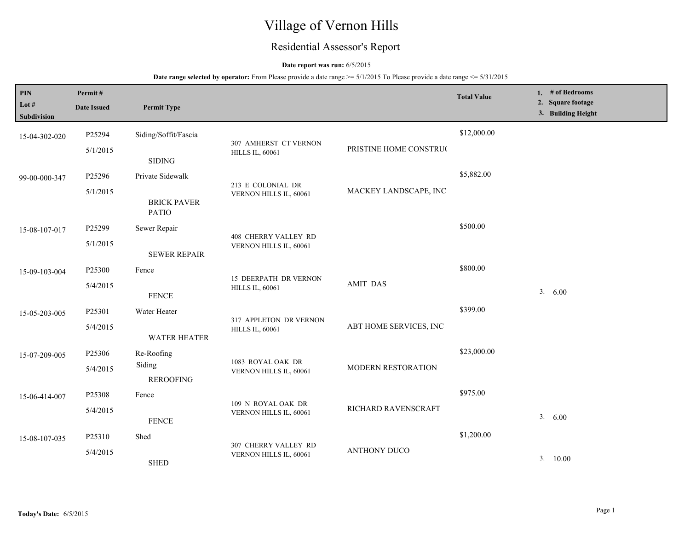# Village of Vernon Hills

## Residential Assessor's Report

#### **Date report was run:** 6/5/2015

| PIN<br>Lot #<br>Subdivision | Permit#<br><b>Date Issued</b> | <b>Permit Type</b>                 |                                                 |                                                 | <b>Total Value</b> | 1. $#$ of Bedrooms<br>2. Square footage<br>3. Building Height |
|-----------------------------|-------------------------------|------------------------------------|-------------------------------------------------|-------------------------------------------------|--------------------|---------------------------------------------------------------|
| 15-04-302-020               | P25294                        | Siding/Soffit/Fascia               |                                                 |                                                 | \$12,000.00        |                                                               |
|                             | 5/1/2015                      | <b>SIDING</b>                      | 307 AMHERST CT VERNON<br><b>HILLS IL, 60061</b> | PRISTINE HOME CONSTRUC                          |                    |                                                               |
| 99-00-000-347               | P25296                        | Private Sidewalk                   | 213 E COLONIAL DR                               |                                                 | \$5,882.00         |                                                               |
|                             | 5/1/2015                      | <b>BRICK PAVER</b><br><b>PATIO</b> | VERNON HILLS IL, 60061                          | MACKEY LANDSCAPE, INC                           |                    |                                                               |
| 15-08-107-017               | P25299                        | Sewer Repair                       | <b>408 CHERRY VALLEY RD</b>                     | \$500.00                                        |                    |                                                               |
|                             | 5/1/2015                      | <b>SEWER REPAIR</b>                | VERNON HILLS IL, 60061                          |                                                 |                    |                                                               |
| 15-09-103-004               | P25300                        | Fence                              |                                                 |                                                 | \$800.00           |                                                               |
|                             | 5/4/2015                      | <b>FENCE</b>                       | <b>HILLS IL, 60061</b>                          | <b>15 DEERPATH DR VERNON</b><br><b>AMIT DAS</b> |                    | 3.<br>6.00                                                    |
| 15-05-203-005               | P25301                        | Water Heater                       | 317 APPLETON DR VERNON                          |                                                 | \$399.00           |                                                               |
|                             | 5/4/2015                      | <b>WATER HEATER</b>                | <b>HILLS IL, 60061</b>                          | ABT HOME SERVICES, INC                          |                    |                                                               |
| 15-07-209-005               | P25306                        | Re-Roofing                         | 1083 ROYAL OAK DR                               |                                                 | \$23,000.00        |                                                               |
|                             | 5/4/2015                      | Siding<br><b>REROOFING</b>         | VERNON HILLS IL, 60061                          | MODERN RESTORATION                              |                    |                                                               |
| 15-06-414-007               | P25308                        | Fence                              |                                                 |                                                 | \$975.00           |                                                               |
|                             | 5/4/2015                      | <b>FENCE</b>                       | 109 N ROYAL OAK DR<br>VERNON HILLS IL, 60061    | RICHARD RAVENSCRAFT                             |                    | 3.600                                                         |
| 15-08-107-035               | P25310                        | Shed                               |                                                 | <b>ANTHONY DUCO</b>                             | \$1,200.00         |                                                               |
|                             | 5/4/2015                      | <b>SHED</b>                        | 307 CHERRY VALLEY RD<br>VERNON HILLS IL, 60061  |                                                 |                    | 3. 10.00                                                      |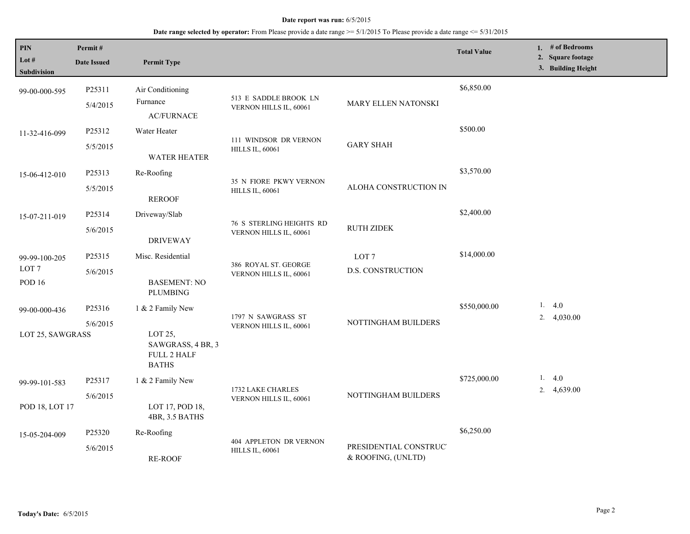| PIN<br>Lot $#$<br><b>Subdivision</b>               | Permit#<br><b>Date Issued</b> | <b>Permit Type</b>                                                              |                                                           |                                              | <b>Total Value</b> | 1. $#$ of Bedrooms<br>2. Square footage<br>3. Building Height |
|----------------------------------------------------|-------------------------------|---------------------------------------------------------------------------------|-----------------------------------------------------------|----------------------------------------------|--------------------|---------------------------------------------------------------|
| 99-00-000-595                                      | P25311<br>5/4/2015            | Air Conditioning<br>Furnance<br><b>AC/FURNACE</b>                               | 513 E SADDLE BROOK LN<br>VERNON HILLS IL, 60061           | MARY ELLEN NATONSKI                          | \$6,850.00         |                                                               |
| 11-32-416-099                                      | P25312<br>5/5/2015            | Water Heater<br><b>WATER HEATER</b>                                             | 111 WINDSOR DR VERNON<br><b>HILLS IL, 60061</b>           | <b>GARY SHAH</b>                             | \$500.00           |                                                               |
| 15-06-412-010                                      | P25313<br>5/5/2015            | Re-Roofing<br><b>REROOF</b>                                                     | 35 N FIORE PKWY VERNON<br><b>HILLS IL, 60061</b>          | ALOHA CONSTRUCTION IN                        | \$3,570.00         |                                                               |
| 15-07-211-019                                      | P25314<br>5/6/2015            | Driveway/Slab<br><b>DRIVEWAY</b>                                                | <b>76 S STERLING HEIGHTS RD</b><br>VERNON HILLS IL, 60061 | <b>RUTH ZIDEK</b>                            | \$2,400.00         |                                                               |
| 99-99-100-205<br>LOT <sub>7</sub><br><b>POD 16</b> | P25315<br>5/6/2015            | Misc. Residential<br><b>BASEMENT: NO</b><br><b>PLUMBING</b>                     | 386 ROYAL ST. GEORGE<br>VERNON HILLS IL, 60061            | LOT <sub>7</sub><br><b>D.S. CONSTRUCTION</b> | \$14,000.00        |                                                               |
| 99-00-000-436<br>LOT 25, SAWGRASS                  | P25316<br>5/6/2015            | 1 & 2 Family New<br>LOT 25,<br>SAWGRASS, 4 BR, 3<br>FULL 2 HALF<br><b>BATHS</b> | 1797 N SAWGRASS ST<br>VERNON HILLS IL, 60061              | NOTTINGHAM BUILDERS                          | \$550,000.00       | 1. $4.0$<br>2. $4,030.00$                                     |
| 99-99-101-583<br>POD 18, LOT 17                    | P25317<br>5/6/2015            | 1 & 2 Family New<br>LOT 17, POD 18,<br>4BR, 3.5 BATHS                           | 1732 LAKE CHARLES<br>VERNON HILLS IL, 60061               | NOTTINGHAM BUILDERS                          | \$725,000.00       | 1.4.0<br>4,639.00<br>2.                                       |
| 15-05-204-009                                      | P25320<br>5/6/2015            | Re-Roofing<br><b>RE-ROOF</b>                                                    | 404 APPLETON DR VERNON<br><b>HILLS IL, 60061</b>          | PRESIDENTIAL CONSTRUC'<br>& ROOFING, (UNLTD) | \$6,250.00         |                                                               |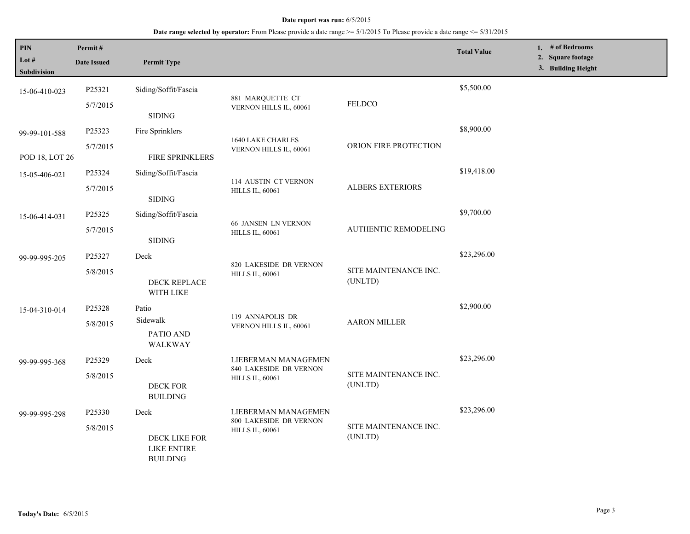| $\mathbf{PIN}$<br>Lot $#$ | Permit#<br><b>Date Issued</b>                                                                                          | <b>Permit Type</b>               |                                                      |                                  | <b>Total Value</b> | 1. # of Bedrooms<br>2. Square footage<br>3. Building Height |
|---------------------------|------------------------------------------------------------------------------------------------------------------------|----------------------------------|------------------------------------------------------|----------------------------------|--------------------|-------------------------------------------------------------|
| <b>Subdivision</b>        |                                                                                                                        |                                  |                                                      |                                  |                    |                                                             |
| 15-06-410-023             | P25321                                                                                                                 | Siding/Soffit/Fascia             |                                                      |                                  | \$5,500.00         |                                                             |
|                           | 5/7/2015                                                                                                               | <b>SIDING</b>                    | 881 MARQUETTE CT<br>VERNON HILLS IL, 60061           | <b>FELDCO</b>                    |                    |                                                             |
| 99-99-101-588             | P25323                                                                                                                 | Fire Sprinklers                  |                                                      |                                  | \$8,900.00         |                                                             |
|                           | 5/7/2015                                                                                                               |                                  | 1640 LAKE CHARLES<br>VERNON HILLS IL, 60061          | ORION FIRE PROTECTION            |                    |                                                             |
| POD 18, LOT 26            |                                                                                                                        | FIRE SPRINKLERS                  |                                                      |                                  |                    |                                                             |
| 15-05-406-021             | P25324                                                                                                                 | Siding/Soffit/Fascia             |                                                      |                                  | \$19,418.00        |                                                             |
|                           | 5/7/2015                                                                                                               | <b>SIDING</b>                    | 114 AUSTIN CT VERNON<br><b>HILLS IL, 60061</b>       | <b>ALBERS EXTERIORS</b>          |                    |                                                             |
| 15-06-414-031             | P25325                                                                                                                 | Siding/Soffit/Fascia             |                                                      |                                  | \$9,700.00         |                                                             |
|                           | 5/7/2015                                                                                                               | <b>SIDING</b>                    | <b>66 JANSEN LN VERNON</b><br><b>HILLS IL, 60061</b> | <b>AUTHENTIC REMODELING</b>      |                    |                                                             |
| 99-99-995-205             | P25327                                                                                                                 | Deck                             |                                                      | SITE MAINTENANCE INC.<br>(UNLTD) | \$23,296.00        |                                                             |
|                           | 5/8/2015                                                                                                               |                                  | 820 LAKESIDE DR VERNON<br><b>HILLS IL, 60061</b>     |                                  |                    |                                                             |
|                           |                                                                                                                        | DECK REPLACE<br>WITH LIKE        |                                                      |                                  |                    |                                                             |
| 15-04-310-014             | P25328                                                                                                                 | Patio                            |                                                      |                                  | \$2,900.00         |                                                             |
|                           | 5/8/2015                                                                                                               | Sidewalk                         | 119 ANNAPOLIS DR<br>VERNON HILLS IL, 60061           | <b>AARON MILLER</b>              |                    |                                                             |
|                           |                                                                                                                        | PATIO AND<br>WALKWAY             |                                                      |                                  |                    |                                                             |
| 99-99-995-368             | P25329                                                                                                                 | Deck                             | LIEBERMAN MANAGEMEN                                  |                                  | \$23,296.00        |                                                             |
|                           | 5/8/2015                                                                                                               | DECK FOR<br><b>BUILDING</b>      | 840 LAKESIDE DR VERNON<br><b>HILLS IL, 60061</b>     | SITE MAINTENANCE INC.<br>(UNLTD) |                    |                                                             |
| 99-99-995-298             | P25330                                                                                                                 | Deck                             | LIEBERMAN MANAGEMEN                                  |                                  | \$23,296.00        |                                                             |
|                           | 800 LAKESIDE DR VERNON<br>5/8/2015<br><b>HILLS IL, 60061</b><br>DECK LIKE FOR<br><b>LIKE ENTIRE</b><br><b>BUILDING</b> | SITE MAINTENANCE INC.<br>(UNLTD) |                                                      |                                  |                    |                                                             |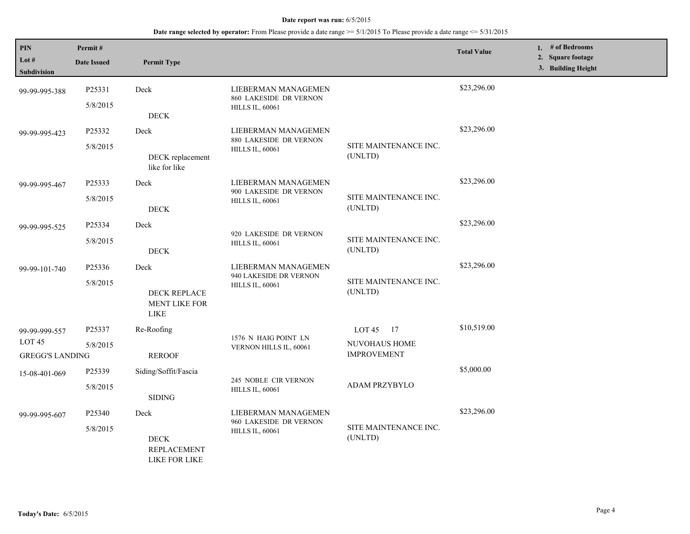| $\mathbf{PIN}$                | Permit#            |                                              |                                                                         |                                  | <b>Total Value</b> | 1. # of Bedrooms                        |
|-------------------------------|--------------------|----------------------------------------------|-------------------------------------------------------------------------|----------------------------------|--------------------|-----------------------------------------|
| Lot $#$<br><b>Subdivision</b> | <b>Date Issued</b> | <b>Permit Type</b>                           |                                                                         |                                  |                    | 2. Square footage<br>3. Building Height |
|                               |                    |                                              |                                                                         |                                  |                    |                                         |
| 99-99-995-388                 | P25331             | Deck                                         | LIEBERMAN MANAGEMEN                                                     |                                  | \$23,296.00        |                                         |
|                               | 5/8/2015           | $\rm DECK$                                   | 860 LAKESIDE DR VERNON<br><b>HILLS IL, 60061</b>                        |                                  |                    |                                         |
|                               |                    |                                              |                                                                         |                                  | \$23,296.00        |                                         |
| 99-99-995-423                 | P25332             | Deck                                         | LIEBERMAN MANAGEMEN<br>880 LAKESIDE DR VERNON                           |                                  |                    |                                         |
|                               | 5/8/2015           | DECK replacement<br>like for like            | <b>HILLS IL, 60061</b>                                                  | SITE MAINTENANCE INC.<br>(UNLTD) |                    |                                         |
| 99-99-995-467                 | P25333             | Deck                                         | LIEBERMAN MANAGEMEN<br>900 LAKESIDE DR VERNON<br><b>HILLS IL, 60061</b> |                                  | \$23,296.00        |                                         |
|                               | 5/8/2015           | $\rm{DECK}$                                  |                                                                         | SITE MAINTENANCE INC.<br>(UNLTD) |                    |                                         |
|                               |                    |                                              |                                                                         |                                  | \$23,296.00        |                                         |
| 99-99-995-525                 | P25334             | Deck                                         | 920 LAKESIDE DR VERNON                                                  |                                  |                    |                                         |
|                               | 5/8/2015           | $\rm{DECK}$                                  | <b>HILLS IL, 60061</b>                                                  | SITE MAINTENANCE INC.<br>(UNLTD) |                    |                                         |
| 99-99-101-740                 | P25336             | Deck                                         | LIEBERMAN MANAGEMEN<br>940 LAKESIDE DR VERNON<br><b>HILLS IL, 60061</b> |                                  | \$23,296.00        |                                         |
|                               | 5/8/2015           | DECK REPLACE<br><b>MENT LIKE FOR</b><br>LIKE |                                                                         | SITE MAINTENANCE INC.<br>(UNLTD) |                    |                                         |
| 99-99-999-557                 | P25337             | Re-Roofing                                   |                                                                         | LOT $45$ 17                      | \$10,519.00        |                                         |
| LOT <sub>45</sub>             | 5/8/2015           |                                              | 1576 N HAIG POINT LN                                                    | NUVOHAUS HOME                    |                    |                                         |
| <b>GREGG'S LANDING</b>        |                    | <b>REROOF</b>                                | VERNON HILLS IL, 60061                                                  | <b>IMPROVEMENT</b>               |                    |                                         |
| 15-08-401-069                 | P25339             | Siding/Soffit/Fascia                         | 245 NOBLE CIR VERNON                                                    |                                  | \$5,000.00         |                                         |
|                               | 5/8/2015           | <b>SIDING</b>                                | <b>HILLS IL, 60061</b>                                                  | ADAM PRZYBYLO                    |                    |                                         |
| 99-99-995-607                 | P25340             | Deck                                         | LIEBERMAN MANAGEMEN<br>960 LAKESIDE DR VERNON                           |                                  | \$23,296.00        |                                         |
|                               | 5/8/2015           | <b>DECK</b><br>REPLACEMENT<br>LIKE FOR LIKE  | <b>HILLS IL, 60061</b>                                                  | SITE MAINTENANCE INC.<br>(UNLTD) |                    |                                         |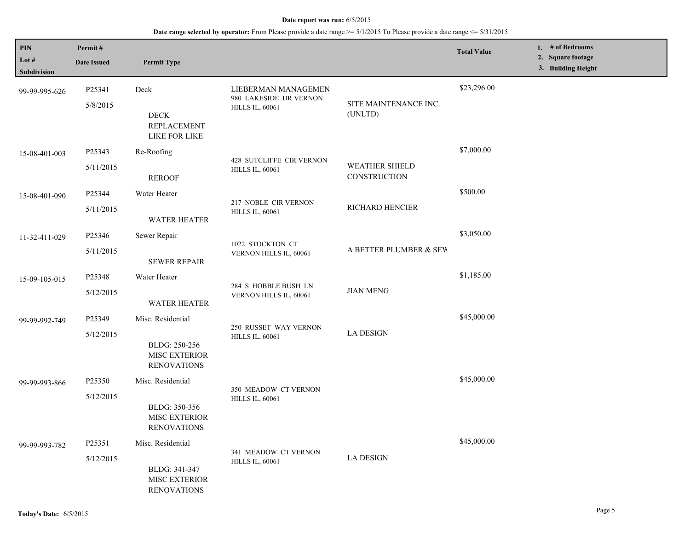| PIN<br>Lot #<br>Subdivision | Permit#<br><b>Date Issued</b> | <b>Permit Type</b>                                                        |                                                                         |                                       | <b>Total Value</b> | 1. $#$ of Bedrooms<br>2. Square footage<br>3. Building Height |
|-----------------------------|-------------------------------|---------------------------------------------------------------------------|-------------------------------------------------------------------------|---------------------------------------|--------------------|---------------------------------------------------------------|
| 99-99-995-626               | P25341<br>5/8/2015            | Deck<br>$\rm{DECK}$<br><b>REPLACEMENT</b><br>LIKE FOR LIKE                | LIEBERMAN MANAGEMEN<br>980 LAKESIDE DR VERNON<br><b>HILLS IL, 60061</b> | SITE MAINTENANCE INC.<br>(UNLTD)      | \$23,296.00        |                                                               |
| 15-08-401-003               | P25343<br>5/11/2015           | Re-Roofing<br><b>REROOF</b>                                               | 428 SUTCLIFFE CIR VERNON<br><b>HILLS IL, 60061</b>                      | <b>WEATHER SHIELD</b><br>CONSTRUCTION | \$7,000.00         |                                                               |
| 15-08-401-090               | P25344<br>5/11/2015           | Water Heater<br><b>WATER HEATER</b>                                       | 217 NOBLE CIR VERNON<br><b>HILLS IL, 60061</b>                          | RICHARD HENCIER                       | \$500.00           |                                                               |
| 11-32-411-029               | P25346<br>5/11/2015           | Sewer Repair<br><b>SEWER REPAIR</b>                                       | 1022 STOCKTON CT<br>VERNON HILLS IL, 60061                              | A BETTER PLUMBER & SEV                | \$3,050.00         |                                                               |
| 15-09-105-015               | P25348<br>5/12/2015           | Water Heater<br><b>WATER HEATER</b>                                       | 284 S HOBBLE BUSH LN<br>VERNON HILLS IL, 60061                          | <b>JIAN MENG</b>                      | \$1,185.00         |                                                               |
| 99-99-992-749               | P25349<br>5/12/2015           | Misc. Residential<br>BLDG: 250-256<br>MISC EXTERIOR<br><b>RENOVATIONS</b> | 250 RUSSET WAY VERNON<br><b>HILLS IL, 60061</b>                         | <b>LA DESIGN</b>                      | \$45,000.00        |                                                               |
| 99-99-993-866               | P25350<br>5/12/2015           | Misc. Residential<br>BLDG: 350-356<br>MISC EXTERIOR<br><b>RENOVATIONS</b> | 350 MEADOW CT VERNON<br><b>HILLS IL, 60061</b>                          |                                       | \$45,000.00        |                                                               |
| 99-99-993-782               | P25351<br>5/12/2015           | Misc. Residential<br>BLDG: 341-347<br>MISC EXTERIOR<br><b>RENOVATIONS</b> | 341 MEADOW CT VERNON<br><b>HILLS IL, 60061</b>                          | <b>LA DESIGN</b>                      | \$45,000.00        |                                                               |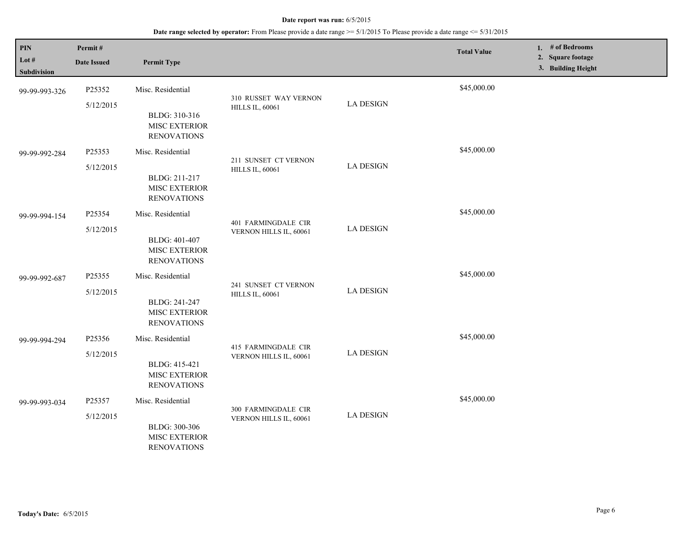| PIN<br>Lot #<br>Subdivision | Permit#<br><b>Date Issued</b> | <b>Permit Type</b>                                                               |                                                 |                  | <b>Total Value</b> | 1. # of Bedrooms<br>2. Square footage<br>3. Building Height |
|-----------------------------|-------------------------------|----------------------------------------------------------------------------------|-------------------------------------------------|------------------|--------------------|-------------------------------------------------------------|
| 99-99-993-326               | P25352<br>5/12/2015           | Misc. Residential<br>BLDG: 310-316<br>MISC EXTERIOR<br><b>RENOVATIONS</b>        | 310 RUSSET WAY VERNON<br><b>HILLS IL, 60061</b> | <b>LA DESIGN</b> | \$45,000.00        |                                                             |
| 99-99-992-284               | P25353<br>5/12/2015           | Misc. Residential<br>BLDG: 211-217<br>MISC EXTERIOR<br><b>RENOVATIONS</b>        | 211 SUNSET CT VERNON<br><b>HILLS IL, 60061</b>  | <b>LA DESIGN</b> | \$45,000.00        |                                                             |
| 99-99-994-154               | P25354<br>5/12/2015           | Misc. Residential<br>BLDG: 401-407<br><b>MISC EXTERIOR</b><br><b>RENOVATIONS</b> | 401 FARMINGDALE CIR<br>VERNON HILLS IL, 60061   | <b>LA DESIGN</b> | \$45,000.00        |                                                             |
| 99-99-992-687               | P25355<br>5/12/2015           | Misc. Residential<br>BLDG: 241-247<br>MISC EXTERIOR<br><b>RENOVATIONS</b>        | 241 SUNSET CT VERNON<br><b>HILLS IL, 60061</b>  | <b>LA DESIGN</b> | \$45,000.00        |                                                             |
| 99-99-994-294               | P25356<br>5/12/2015           | Misc. Residential<br>BLDG: 415-421<br>MISC EXTERIOR<br><b>RENOVATIONS</b>        | 415 FARMINGDALE CIR<br>VERNON HILLS IL, 60061   | <b>LA DESIGN</b> | \$45,000.00        |                                                             |
| 99-99-993-034               | P25357<br>5/12/2015           | Misc. Residential<br>BLDG: 300-306<br>MISC EXTERIOR<br><b>RENOVATIONS</b>        | 300 FARMINGDALE CIR<br>VERNON HILLS IL, 60061   | <b>LA DESIGN</b> | \$45,000.00        |                                                             |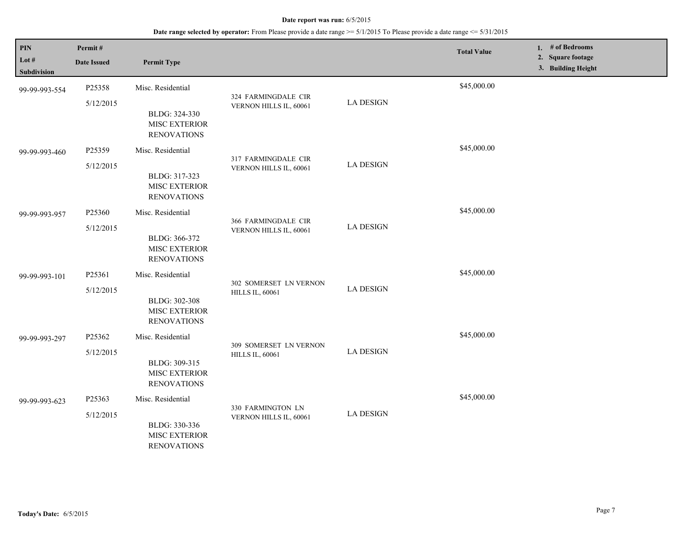| <b>PIN</b><br>Lot #<br>Subdivision | Permit#<br><b>Date Issued</b> | <b>Permit Type</b>                                                               |                                                  |                  | <b>Total Value</b> | 1. # of Bedrooms<br>2. Square footage<br>3. Building Height |
|------------------------------------|-------------------------------|----------------------------------------------------------------------------------|--------------------------------------------------|------------------|--------------------|-------------------------------------------------------------|
| 99-99-993-554                      | P25358<br>5/12/2015           | Misc. Residential<br>BLDG: 324-330<br>MISC EXTERIOR<br><b>RENOVATIONS</b>        | 324 FARMINGDALE CIR<br>VERNON HILLS IL, 60061    | <b>LA DESIGN</b> | \$45,000.00        |                                                             |
| 99-99-993-460                      | P25359<br>5/12/2015           | Misc. Residential<br>BLDG: 317-323<br><b>MISC EXTERIOR</b><br><b>RENOVATIONS</b> | 317 FARMINGDALE CIR<br>VERNON HILLS IL, 60061    | <b>LA DESIGN</b> | \$45,000.00        |                                                             |
| 99-99-993-957                      | P25360<br>5/12/2015           | Misc. Residential<br>BLDG: 366-372<br>MISC EXTERIOR<br><b>RENOVATIONS</b>        | 366 FARMINGDALE CIR<br>VERNON HILLS IL, 60061    | <b>LA DESIGN</b> | \$45,000.00        |                                                             |
| 99-99-993-101                      | P25361<br>5/12/2015           | Misc. Residential<br>BLDG: 302-308<br>MISC EXTERIOR<br><b>RENOVATIONS</b>        | 302 SOMERSET LN VERNON<br><b>HILLS IL, 60061</b> | <b>LA DESIGN</b> | \$45,000.00        |                                                             |
| 99-99-993-297                      | P25362<br>5/12/2015           | Misc. Residential<br>BLDG: 309-315<br>MISC EXTERIOR<br><b>RENOVATIONS</b>        | 309 SOMERSET LN VERNON<br><b>HILLS IL, 60061</b> | <b>LA DESIGN</b> | \$45,000.00        |                                                             |
| 99-99-993-623                      | P25363<br>5/12/2015           | Misc. Residential<br>BLDG: 330-336<br>MISC EXTERIOR<br><b>RENOVATIONS</b>        | 330 FARMINGTON LN<br>VERNON HILLS IL, 60061      | <b>LA DESIGN</b> | \$45,000.00        |                                                             |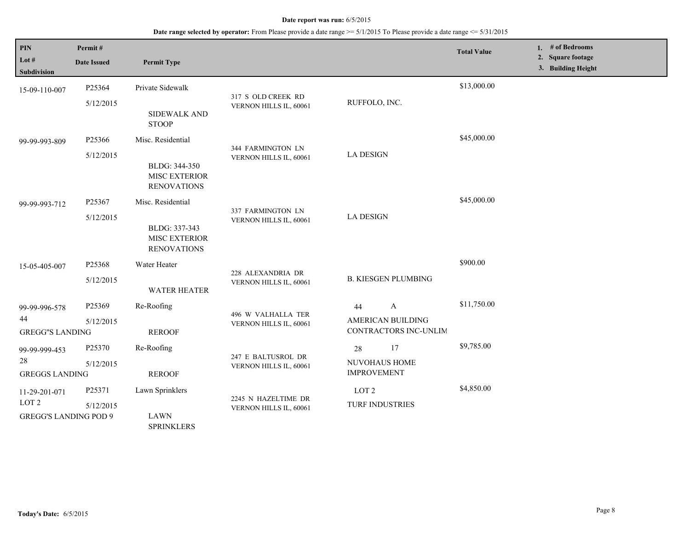| PIN<br>Lot #<br><b>Subdivision</b>                                | Permit#<br><b>Date Issued</b> | <b>Permit Type</b>                                                               |                                               |                                                                  | <b>Total Value</b> | 1. # of Bedrooms<br>2. Square footage<br>3. Building Height |
|-------------------------------------------------------------------|-------------------------------|----------------------------------------------------------------------------------|-----------------------------------------------|------------------------------------------------------------------|--------------------|-------------------------------------------------------------|
| 15-09-110-007                                                     | P25364<br>5/12/2015           | Private Sidewalk<br>SIDEWALK AND<br><b>STOOP</b>                                 | 317 S OLD CREEK RD<br>VERNON HILLS IL, 60061  | RUFFOLO, INC.                                                    | \$13,000.00        |                                                             |
| 99-99-993-809                                                     | P25366<br>5/12/2015           | Misc. Residential<br>BLDG: 344-350<br>MISC EXTERIOR<br><b>RENOVATIONS</b>        | 344 FARMINGTON LN<br>VERNON HILLS IL, 60061   | <b>LA DESIGN</b>                                                 | \$45,000.00        |                                                             |
| 99-99-993-712                                                     | P25367<br>5/12/2015           | Misc. Residential<br>BLDG: 337-343<br><b>MISC EXTERIOR</b><br><b>RENOVATIONS</b> | 337 FARMINGTON LN<br>VERNON HILLS IL, 60061   | <b>LA DESIGN</b>                                                 | \$45,000.00        |                                                             |
| 15-05-405-007                                                     | P25368<br>5/12/2015           | Water Heater<br><b>WATER HEATER</b>                                              | 228 ALEXANDRIA DR<br>VERNON HILLS IL, 60061   | <b>B. KIESGEN PLUMBING</b>                                       | \$900.00           |                                                             |
| 99-99-996-578<br>44<br><b>GREGG"S LANDING</b>                     | P25369<br>5/12/2015           | Re-Roofing<br><b>REROOF</b>                                                      | 496 W VALHALLA TER<br>VERNON HILLS IL, 60061  | $\mathbf{A}$<br>44<br>AMERICAN BUILDING<br>CONTRACTORS INC-UNLIM | \$11,750.00        |                                                             |
| 99-99-999-453<br>28<br><b>GREGGS LANDING</b>                      | P25370<br>5/12/2015           | Re-Roofing<br><b>REROOF</b>                                                      | 247 E BALTUSROL DR<br>VERNON HILLS IL, 60061  | 17<br>28<br>NUVOHAUS HOME<br><b>IMPROVEMENT</b>                  | \$9,785.00         |                                                             |
| 11-29-201-071<br>LOT <sub>2</sub><br><b>GREGG'S LANDING POD 9</b> | P25371<br>5/12/2015           | Lawn Sprinklers<br><b>LAWN</b><br><b>SPRINKLERS</b>                              | 2245 N HAZELTIME DR<br>VERNON HILLS IL, 60061 | LOT <sub>2</sub><br><b>TURF INDUSTRIES</b>                       | \$4,850.00         |                                                             |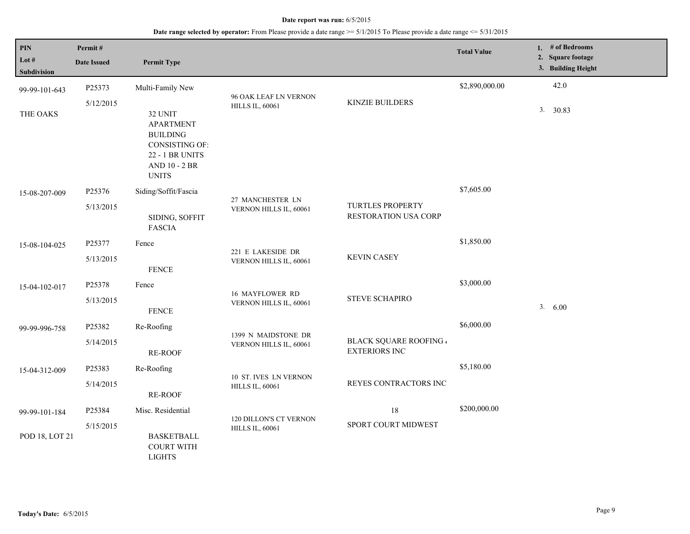| PIN            | Permit#            |                                                                                            |                                                 |                                                     | <b>Total Value</b> |    | 1. $#$ of Bedrooms                      |
|----------------|--------------------|--------------------------------------------------------------------------------------------|-------------------------------------------------|-----------------------------------------------------|--------------------|----|-----------------------------------------|
| Lot $\#$       | <b>Date Issued</b> | <b>Permit Type</b>                                                                         |                                                 |                                                     |                    |    | 2. Square footage<br>3. Building Height |
| Subdivision    |                    |                                                                                            |                                                 |                                                     |                    |    |                                         |
| 99-99-101-643  | P25373             | Multi-Family New                                                                           |                                                 |                                                     | \$2,890,000.00     |    | 42.0                                    |
| THE OAKS       | 5/12/2015          | 32 UNIT<br><b>APARTMENT</b><br><b>BUILDING</b><br><b>CONSISTING OF:</b><br>22 - 1 BR UNITS | 96 OAK LEAF LN VERNON<br><b>HILLS IL, 60061</b> | KINZIE BUILDERS                                     |                    | 3. | 30.83                                   |
|                |                    | AND 10 - 2 BR<br><b>UNITS</b>                                                              |                                                 |                                                     |                    |    |                                         |
| 15-08-207-009  | P25376             | Siding/Soffit/Fascia                                                                       |                                                 |                                                     | \$7,605.00         |    |                                         |
|                | 5/13/2015          | SIDING, SOFFIT<br><b>FASCIA</b>                                                            | 27 MANCHESTER LN<br>VERNON HILLS IL, 60061      | <b>TURTLES PROPERTY</b><br>RESTORATION USA CORP     |                    |    |                                         |
| 15-08-104-025  | P25377             | Fence                                                                                      |                                                 |                                                     | \$1,850.00         |    |                                         |
|                | 5/13/2015          | ${\tt FENCE}$                                                                              | 221 E LAKESIDE DR<br>VERNON HILLS IL, 60061     | <b>KEVIN CASEY</b>                                  |                    |    |                                         |
| 15-04-102-017  | P25378             | Fence                                                                                      | <b>16 MAYFLOWER RD</b>                          |                                                     | \$3,000.00         |    |                                         |
|                | 5/13/2015          | <b>FENCE</b>                                                                               | VERNON HILLS IL, 60061                          | <b>STEVE SCHAPIRO</b>                               |                    |    | 3. 6.00                                 |
| 99-99-996-758  | P25382             | Re-Roofing                                                                                 | 1399 N MAIDSTONE DR                             |                                                     | \$6,000.00         |    |                                         |
|                | 5/14/2015          | RE-ROOF                                                                                    | VERNON HILLS IL, 60061                          | <b>BLACK SQUARE ROOFING</b><br><b>EXTERIORS INC</b> |                    |    |                                         |
| 15-04-312-009  | P25383             | Re-Roofing                                                                                 | 10 ST. IVES LN VERNON                           |                                                     | \$5,180.00         |    |                                         |
|                | 5/14/2015          | <b>RE-ROOF</b>                                                                             | <b>HILLS IL, 60061</b>                          | REYES CONTRACTORS INC                               |                    |    |                                         |
| 99-99-101-184  | P25384             | Misc. Residential                                                                          | 120 DILLON'S CT VERNON                          | 18                                                  | \$200,000.00       |    |                                         |
| POD 18, LOT 21 | 5/15/2015          | <b>BASKETBALL</b><br><b>COURT WITH</b><br><b>LIGHTS</b>                                    | <b>HILLS IL, 60061</b>                          | SPORT COURT MIDWEST                                 |                    |    |                                         |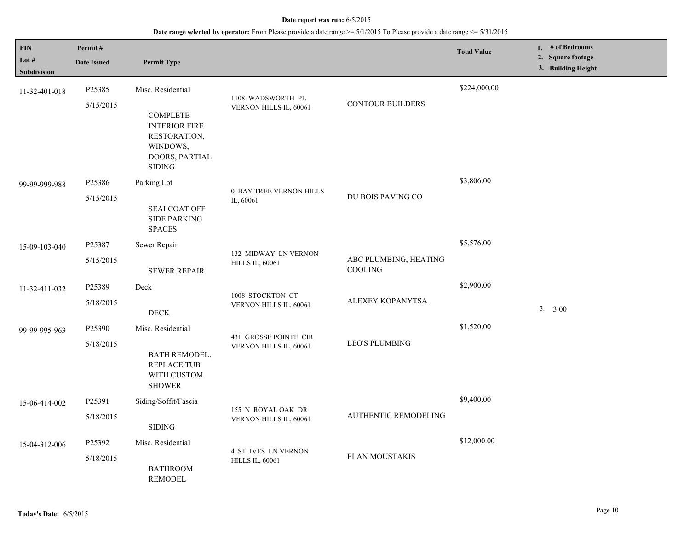| PIN                    | Permit#            |                                                                                                        |                                              |                                         | <b>Total Value</b> | 1. $#$ of Bedrooms                      |
|------------------------|--------------------|--------------------------------------------------------------------------------------------------------|----------------------------------------------|-----------------------------------------|--------------------|-----------------------------------------|
| Lot $#$<br>Subdivision | <b>Date Issued</b> | <b>Permit Type</b>                                                                                     |                                              |                                         |                    | 2. Square footage<br>3. Building Height |
| 11-32-401-018          | P25385             | Misc. Residential                                                                                      |                                              |                                         | \$224,000.00       |                                         |
|                        | 5/15/2015          | <b>COMPLETE</b><br><b>INTERIOR FIRE</b><br>RESTORATION,<br>WINDOWS,<br>DOORS, PARTIAL<br><b>SIDING</b> | 1108 WADSWORTH PL<br>VERNON HILLS IL, 60061  | <b>CONTOUR BUILDERS</b>                 |                    |                                         |
| 99-99-999-988          | P25386             | Parking Lot                                                                                            | 0 BAY TREE VERNON HILLS                      |                                         | \$3,806.00         |                                         |
|                        | 5/15/2015          | <b>SEALCOAT OFF</b><br><b>SIDE PARKING</b><br><b>SPACES</b>                                            | IL, 60061                                    | DU BOIS PAVING CO                       |                    |                                         |
| 15-09-103-040          | P25387             | Sewer Repair                                                                                           | 132 MIDWAY LN VERNON                         |                                         | \$5,576.00         |                                         |
|                        | 5/15/2015          | <b>SEWER REPAIR</b>                                                                                    | <b>HILLS IL, 60061</b>                       | ABC PLUMBING, HEATING<br><b>COOLING</b> |                    |                                         |
| 11-32-411-032          | P25389             | Deck                                                                                                   | 1008 STOCKTON CT                             |                                         | \$2,900.00         |                                         |
|                        | 5/18/2015          | <b>DECK</b>                                                                                            | VERNON HILLS IL, 60061                       | ALEXEY KOPANYTSA                        |                    | 3. 3.00                                 |
| 99-99-995-963          | P25390             | Misc. Residential                                                                                      | 431 GROSSE POINTE CIR                        |                                         | \$1,520.00         |                                         |
|                        | 5/18/2015          | <b>BATH REMODEL:</b><br>REPLACE TUB<br>WITH CUSTOM<br><b>SHOWER</b>                                    | VERNON HILLS IL, 60061                       | <b>LEO'S PLUMBING</b>                   |                    |                                         |
| 15-06-414-002          | P25391             | Siding/Soffit/Fascia                                                                                   |                                              |                                         | \$9,400.00         |                                         |
|                        | 5/18/2015          | <b>SIDING</b>                                                                                          | 155 N ROYAL OAK DR<br>VERNON HILLS IL, 60061 | <b>AUTHENTIC REMODELING</b>             |                    |                                         |
| 15-04-312-006          | P25392             | Misc. Residential                                                                                      | <b>4 ST. IVES LN VERNON</b>                  |                                         | \$12,000.00        |                                         |
|                        | 5/18/2015          | <b>BATHROOM</b><br><b>REMODEL</b>                                                                      | <b>HILLS IL, 60061</b>                       | <b>ELAN MOUSTAKIS</b>                   |                    |                                         |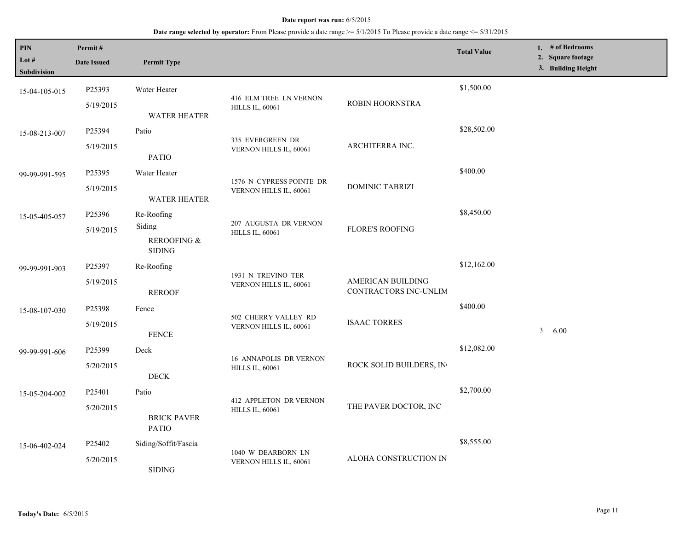| $\mathbf{PIN}$<br>Lot #<br><b>Subdivision</b> | Permit#<br><b>Date Issued</b> | <b>Permit Type</b>                     |                                              |                                            | <b>Total Value</b> | 1. # of Bedrooms<br>2. Square footage<br>3. Building Height |
|-----------------------------------------------|-------------------------------|----------------------------------------|----------------------------------------------|--------------------------------------------|--------------------|-------------------------------------------------------------|
| 15-04-105-015                                 | P25393<br>5/19/2015           | Water Heater                           | 416 ELM TREE LN VERNON                       | ROBIN HOORNSTRA                            | \$1,500.00         |                                                             |
|                                               |                               | <b>WATER HEATER</b>                    | <b>HILLS IL, 60061</b>                       |                                            |                    |                                                             |
| 15-08-213-007                                 | P25394                        | Patio                                  | 335 EVERGREEN DR                             |                                            | \$28,502.00        |                                                             |
|                                               | 5/19/2015                     | <b>PATIO</b>                           | VERNON HILLS IL, 60061                       | ARCHITERRA INC.                            |                    |                                                             |
| 99-99-991-595                                 | P25395                        | Water Heater                           | 1576 N CYPRESS POINTE DR                     |                                            | \$400.00           |                                                             |
|                                               | 5/19/2015                     | <b>WATER HEATER</b>                    | VERNON HILLS IL, 60061                       | <b>DOMINIC TABRIZI</b>                     |                    |                                                             |
| 15-05-405-057                                 | P25396                        | Re-Roofing                             | 207 AUGUSTA DR VERNON                        |                                            | \$8,450.00         |                                                             |
|                                               | 5/19/2015                     | Siding<br>REROOFING &<br><b>SIDING</b> | <b>HILLS IL, 60061</b>                       | <b>FLORE'S ROOFING</b>                     |                    |                                                             |
| 99-99-991-903                                 | P <sub>25397</sub>            | Re-Roofing                             |                                              |                                            | \$12,162.00        |                                                             |
|                                               | 5/19/2015                     | <b>REROOF</b>                          | 1931 N TREVINO TER<br>VERNON HILLS IL, 60061 | AMERICAN BUILDING<br>CONTRACTORS INC-UNLIM |                    |                                                             |
| 15-08-107-030                                 | P <sub>25398</sub>            | Fence                                  | 502 CHERRY VALLEY RD                         |                                            | \$400.00           |                                                             |
|                                               | 5/19/2015                     | <b>FENCE</b>                           | VERNON HILLS IL, 60061                       | <b>ISAAC TORRES</b>                        |                    | 3. 6.00                                                     |
| 99-99-991-606                                 | P25399                        | Deck                                   | <b>16 ANNAPOLIS DR VERNON</b>                |                                            | \$12,082.00        |                                                             |
|                                               | 5/20/2015                     | $\rm{DECK}$                            | <b>HILLS IL, 60061</b>                       | ROCK SOLID BUILDERS, IN                    |                    |                                                             |
| 15-05-204-002                                 | P25401                        | Patio                                  | <b>412 APPLETON DR VERNON</b>                |                                            | \$2,700.00         |                                                             |
|                                               | 5/20/2015                     | <b>BRICK PAVER</b><br><b>PATIO</b>     | <b>HILLS IL, 60061</b>                       | THE PAVER DOCTOR, INC                      |                    |                                                             |
| 15-06-402-024                                 | P <sub>25402</sub>            | Siding/Soffit/Fascia                   |                                              |                                            | \$8,555.00         |                                                             |
|                                               | 5/20/2015                     | <b>SIDING</b>                          | 1040 W DEARBORN LN<br>VERNON HILLS IL, 60061 | ALOHA CONSTRUCTION IN                      |                    |                                                             |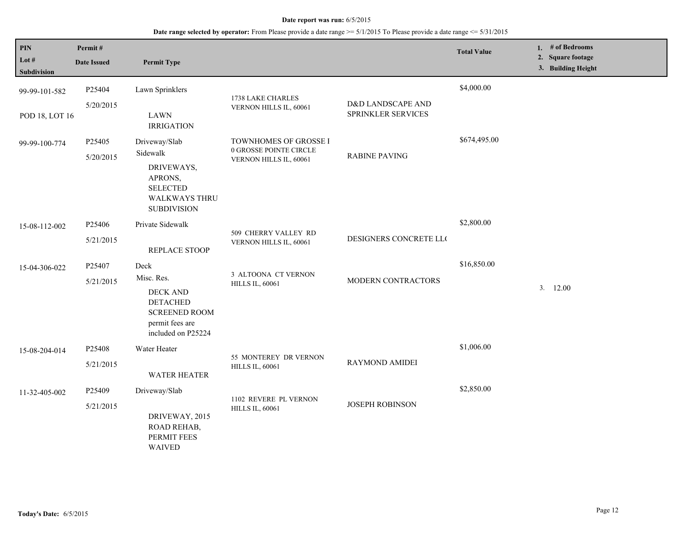| <b>PIN</b><br>Lot $#$<br><b>Subdivision</b> | Permit#<br><b>Date Issued</b> | <b>Permit Type</b>                                                                                                  |                                                                           |                        | <b>Total Value</b> | 1. # of Bedrooms<br>2. Square footage<br>3. Building Height |
|---------------------------------------------|-------------------------------|---------------------------------------------------------------------------------------------------------------------|---------------------------------------------------------------------------|------------------------|--------------------|-------------------------------------------------------------|
| 99-99-101-582                               | P25404<br>5/20/2015           | Lawn Sprinklers                                                                                                     | 1738 LAKE CHARLES                                                         | D&D LANDSCAPE AND      | \$4,000.00         |                                                             |
| POD 18, LOT 16                              |                               | <b>LAWN</b><br><b>IRRIGATION</b>                                                                                    | VERNON HILLS IL, 60061                                                    | SPRINKLER SERVICES     |                    |                                                             |
| 99-99-100-774                               | P25405<br>5/20/2015           | Driveway/Slab<br>Sidewalk<br>DRIVEWAYS,<br>APRONS,<br><b>SELECTED</b><br><b>WALKWAYS THRU</b><br><b>SUBDIVISION</b> | TOWNHOMES OF GROSSE I<br>0 GROSSE POINTE CIRCLE<br>VERNON HILLS IL, 60061 | <b>RABINE PAVING</b>   | \$674,495.00       |                                                             |
| 15-08-112-002                               | P25406<br>5/21/2015           | Private Sidewalk<br>REPLACE STOOP                                                                                   | 509 CHERRY VALLEY RD<br>VERNON HILLS IL, 60061                            | DESIGNERS CONCRETE LLC | \$2,800.00         |                                                             |
| 15-04-306-022                               | P25407<br>5/21/2015           | Deck<br>Misc. Res.<br>DECK AND<br><b>DETACHED</b><br><b>SCREENED ROOM</b><br>permit fees are<br>included on P25224  | 3 ALTOONA CT VERNON<br><b>HILLS IL, 60061</b>                             | MODERN CONTRACTORS     | \$16,850.00        | 3.12.00                                                     |
| 15-08-204-014                               | P25408<br>5/21/2015           | Water Heater<br><b>WATER HEATER</b>                                                                                 | 55 MONTEREY DR VERNON<br><b>HILLS IL, 60061</b>                           | <b>RAYMOND AMIDEI</b>  | \$1,006.00         |                                                             |
| 11-32-405-002                               | P25409<br>5/21/2015           | Driveway/Slab<br>DRIVEWAY, 2015<br>ROAD REHAB,<br>PERMIT FEES<br><b>WAIVED</b>                                      | 1102 REVERE PL VERNON<br><b>HILLS IL, 60061</b>                           | <b>JOSEPH ROBINSON</b> | \$2,850.00         |                                                             |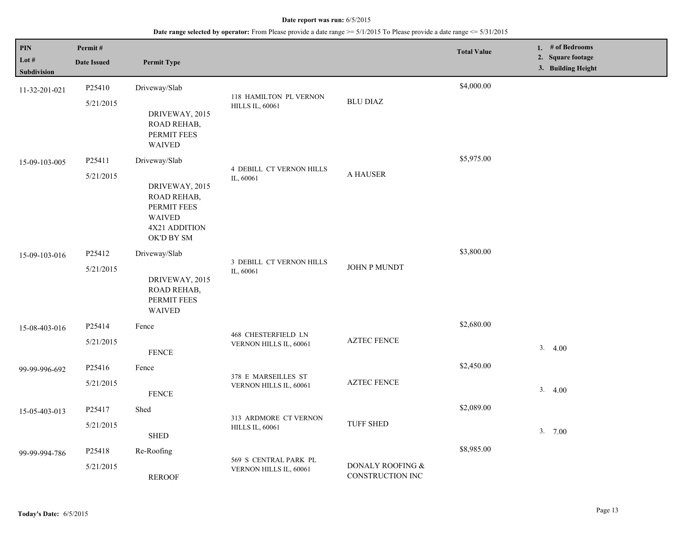| PIN<br>Lot #<br>Subdivision | Permit#<br><b>Date Issued</b> | <b>Permit Type</b>                                                                                            |                                                  |                                         | <b>Total Value</b> | 1. # of Bedrooms<br>2. Square footage<br>3. Building Height |
|-----------------------------|-------------------------------|---------------------------------------------------------------------------------------------------------------|--------------------------------------------------|-----------------------------------------|--------------------|-------------------------------------------------------------|
| 11-32-201-021               | P25410<br>5/21/2015           | Driveway/Slab<br>DRIVEWAY, 2015<br>ROAD REHAB,<br>PERMIT FEES<br>WAIVED                                       | 118 HAMILTON PL VERNON<br><b>HILLS IL, 60061</b> | <b>BLU DIAZ</b>                         | \$4,000.00         |                                                             |
| 15-09-103-005               | P25411<br>5/21/2015           | Driveway/Slab<br>DRIVEWAY, 2015<br>ROAD REHAB,<br>PERMIT FEES<br><b>WAIVED</b><br>4X21 ADDITION<br>OK'D BY SM | <b>4 DEBILL CT VERNON HILLS</b><br>IL, 60061     | A HAUSER                                | \$5,975.00         |                                                             |
| 15-09-103-016               | P25412<br>5/21/2015           | Driveway/Slab<br>DRIVEWAY, 2015<br>ROAD REHAB,<br>PERMIT FEES<br><b>WAIVED</b>                                | 3 DEBILL CT VERNON HILLS<br>IL, 60061            | JOHN P MUNDT                            | \$3,800.00         |                                                             |
| 15-08-403-016               | P25414<br>5/21/2015           | Fence<br><b>FENCE</b>                                                                                         | 468 CHESTERFIELD LN<br>VERNON HILLS IL, 60061    | <b>AZTEC FENCE</b>                      | \$2,680.00         | 3.4.00                                                      |
| 99-99-996-692               | P25416<br>5/21/2015           | Fence<br><b>FENCE</b>                                                                                         | 378 E MARSEILLES ST<br>VERNON HILLS IL, 60061    | <b>AZTEC FENCE</b>                      | \$2,450.00         | 3.4.00                                                      |
| 15-05-403-013               | P25417<br>5/21/2015           | Shed<br><b>SHED</b>                                                                                           | 313 ARDMORE CT VERNON<br><b>HILLS IL, 60061</b>  | <b>TUFF SHED</b>                        | \$2,089.00         | 3.700                                                       |
| 99-99-994-786               | P25418<br>5/21/2015           | Re-Roofing<br><b>REROOF</b>                                                                                   | 569 S CENTRAL PARK PL<br>VERNON HILLS IL, 60061  | DONALY ROOFING $\&$<br>CONSTRUCTION INC | \$8,985.00         |                                                             |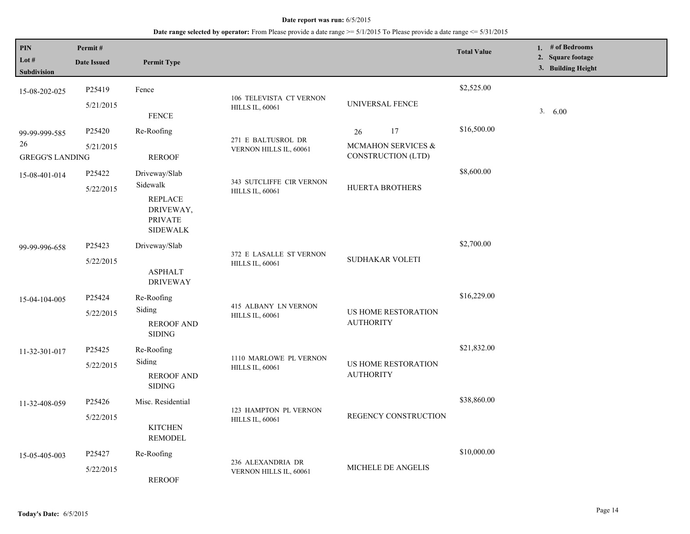| <b>PIN</b><br>Lot $#$<br>Subdivision          | Permit#<br><b>Date Issued</b> | <b>Permit Type</b>                                                                            |                                                    |                                                      | <b>Total Value</b> | 1. # of Bedrooms<br>2. Square footage<br>3. Building Height |
|-----------------------------------------------|-------------------------------|-----------------------------------------------------------------------------------------------|----------------------------------------------------|------------------------------------------------------|--------------------|-------------------------------------------------------------|
| 15-08-202-025                                 | P25419<br>5/21/2015           | Fence<br><b>FENCE</b>                                                                         | 106 TELEVISTA CT VERNON<br><b>HILLS IL, 60061</b>  | UNIVERSAL FENCE                                      | \$2,525.00         | 3.600                                                       |
| 99-99-999-585<br>26<br><b>GREGG'S LANDING</b> | P25420<br>5/21/2015           | Re-Roofing<br><b>REROOF</b>                                                                   | 271 E BALTUSROL DR<br>VERNON HILLS IL, 60061       | 17<br>26<br>MCMAHON SERVICES &<br>CONSTRUCTION (LTD) | \$16,500.00        |                                                             |
| 15-08-401-014                                 | P25422<br>5/22/2015           | Driveway/Slab<br>Sidewalk<br><b>REPLACE</b><br>DRIVEWAY,<br><b>PRIVATE</b><br><b>SIDEWALK</b> | 343 SUTCLIFFE CIR VERNON<br><b>HILLS IL, 60061</b> | HUERTA BROTHERS                                      | \$8,600.00         |                                                             |
| 99-99-996-658                                 | P25423<br>5/22/2015           | Driveway/Slab<br><b>ASPHALT</b><br><b>DRIVEWAY</b>                                            | 372 E LASALLE ST VERNON<br><b>HILLS IL, 60061</b>  | SUDHAKAR VOLETI                                      | \$2,700.00         |                                                             |
| 15-04-104-005                                 | P25424<br>5/22/2015           | Re-Roofing<br>Siding<br><b>REROOF AND</b><br><b>SIDING</b>                                    | 415 ALBANY LN VERNON<br><b>HILLS IL, 60061</b>     | US HOME RESTORATION<br><b>AUTHORITY</b>              | \$16,229.00        |                                                             |
| 11-32-301-017                                 | P25425<br>5/22/2015           | Re-Roofing<br>Siding<br><b>REROOF AND</b><br><b>SIDING</b>                                    | 1110 MARLOWE PL VERNON<br><b>HILLS IL, 60061</b>   | US HOME RESTORATION<br><b>AUTHORITY</b>              | \$21,832.00        |                                                             |
| 11-32-408-059                                 | P25426<br>5/22/2015           | Misc. Residential<br><b>KITCHEN</b><br><b>REMODEL</b>                                         | 123 HAMPTON PL VERNON<br><b>HILLS IL, 60061</b>    | REGENCY CONSTRUCTION                                 | \$38,860.00        |                                                             |
| 15-05-405-003                                 | P25427<br>5/22/2015           | Re-Roofing<br><b>REROOF</b>                                                                   | 236 ALEXANDRIA DR<br>VERNON HILLS IL, 60061        | MICHELE DE ANGELIS                                   | \$10,000.00        |                                                             |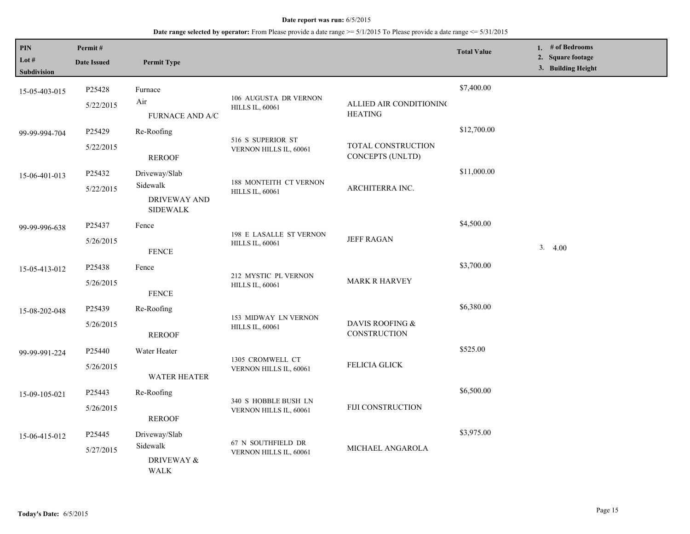| PIN<br>Lot $#$<br>Subdivision | Permit#<br><b>Date Issued</b>   | <b>Permit Type</b>                                                  |                                                   |                                           | <b>Total Value</b> | 1. # of Bedrooms<br>2. Square footage<br>3. Building Height |
|-------------------------------|---------------------------------|---------------------------------------------------------------------|---------------------------------------------------|-------------------------------------------|--------------------|-------------------------------------------------------------|
| 15-05-403-015                 | P25428<br>5/22/2015             | Furnace<br>Air<br>FURNACE AND A/C                                   | 106 AUGUSTA DR VERNON<br><b>HILLS IL, 60061</b>   | ALLIED AIR CONDITIONING<br><b>HEATING</b> | \$7,400.00         |                                                             |
| 99-99-994-704                 | P25429<br>5/22/2015             | Re-Roofing<br><b>REROOF</b>                                         | 516 S SUPERIOR ST<br>VERNON HILLS IL, 60061       | TOTAL CONSTRUCTION<br>CONCEPTS (UNLTD)    | \$12,700.00        |                                                             |
| 15-06-401-013                 | P25432<br>5/22/2015             | Driveway/Slab<br>Sidewalk<br><b>DRIVEWAY AND</b><br><b>SIDEWALK</b> | 188 MONTEITH CT VERNON<br><b>HILLS IL, 60061</b>  | ARCHITERRA INC.                           | \$11,000.00        |                                                             |
| 99-99-996-638                 | P25437<br>5/26/2015             | Fence<br><b>FENCE</b>                                               | 198 E LASALLE ST VERNON<br><b>HILLS IL, 60061</b> | <b>JEFF RAGAN</b>                         | \$4,500.00         | 3.4.00                                                      |
| 15-05-413-012                 | P25438<br>5/26/2015             | Fence<br><b>FENCE</b>                                               | 212 MYSTIC PL VERNON<br><b>HILLS IL, 60061</b>    | <b>MARK R HARVEY</b>                      | \$3,700.00         |                                                             |
| 15-08-202-048                 | P <sub>25439</sub><br>5/26/2015 | Re-Roofing<br><b>REROOF</b>                                         | 153 MIDWAY LN VERNON<br><b>HILLS IL, 60061</b>    | DAVIS ROOFING &<br>CONSTRUCTION           | \$6,380.00         |                                                             |
| 99-99-991-224                 | P25440<br>5/26/2015             | Water Heater<br>WATER HEATER                                        | 1305 CROMWELL CT<br>VERNON HILLS IL, 60061        | <b>FELICIA GLICK</b>                      | \$525.00           |                                                             |
| 15-09-105-021                 | P25443<br>5/26/2015             | Re-Roofing<br><b>REROOF</b>                                         | 340 S HOBBLE BUSH LN<br>VERNON HILLS IL, 60061    | <b>FIJI CONSTRUCTION</b>                  | \$6,500.00         |                                                             |
| 15-06-415-012                 | P25445<br>5/27/2015             | Driveway/Slab<br>Sidewalk<br><b>DRIVEWAY &amp;</b><br><b>WALK</b>   | 67 N SOUTHFIELD DR<br>VERNON HILLS IL, 60061      | MICHAEL ANGAROLA                          | \$3,975.00         |                                                             |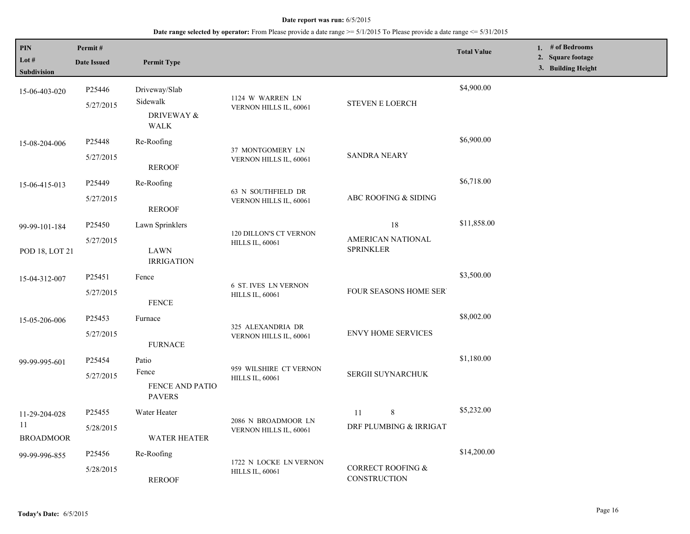| PIN<br>Lot #<br><b>Subdivision</b>      | Permit#<br><b>Date Issued</b> | <b>Permit Type</b>                                        |                                                         |                                                     | <b>Total Value</b> | 1. # of Bedrooms<br>2. Square footage<br>3. Building Height |
|-----------------------------------------|-------------------------------|-----------------------------------------------------------|---------------------------------------------------------|-----------------------------------------------------|--------------------|-------------------------------------------------------------|
| 15-06-403-020                           | P25446<br>5/27/2015           | Driveway/Slab<br>Sidewalk<br>DRIVEWAY &<br><b>WALK</b>    | 1124 W WARREN LN<br>VERNON HILLS IL, 60061              | STEVEN E LOERCH                                     | \$4,900.00         |                                                             |
| 15-08-204-006                           | P25448<br>5/27/2015           | Re-Roofing<br><b>REROOF</b>                               | 37 MONTGOMERY LN<br>VERNON HILLS IL, 60061              | <b>SANDRA NEARY</b>                                 | \$6,900.00         |                                                             |
| 15-06-415-013                           | P25449<br>5/27/2015           | Re-Roofing<br><b>REROOF</b>                               | 63 N SOUTHFIELD DR<br>VERNON HILLS IL, 60061            | ABC ROOFING & SIDING                                | \$6,718.00         |                                                             |
| 99-99-101-184<br>POD 18, LOT 21         | P25450<br>5/27/2015           | Lawn Sprinklers<br>LAWN<br><b>IRRIGATION</b>              | <b>120 DILLON'S CT VERNON</b><br><b>HILLS IL, 60061</b> | 18<br>AMERICAN NATIONAL<br><b>SPRINKLER</b>         | \$11,858.00        |                                                             |
| 15-04-312-007                           | P25451<br>5/27/2015           | Fence<br><b>FENCE</b>                                     | <b>6 ST. IVES LN VERNON</b><br><b>HILLS IL, 60061</b>   | FOUR SEASONS HOME SER                               | \$3,500.00         |                                                             |
| 15-05-206-006                           | P25453<br>5/27/2015           | Furnace<br><b>FURNACE</b>                                 | 325 ALEXANDRIA DR<br>VERNON HILLS IL, 60061             | <b>ENVY HOME SERVICES</b>                           | \$8,002.00         |                                                             |
| 99-99-995-601                           | P25454<br>5/27/2015           | Patio<br>Fence<br><b>FENCE AND PATIO</b><br><b>PAVERS</b> | 959 WILSHIRE CT VERNON<br><b>HILLS IL, 60061</b>        | SERGII SUYNARCHUK                                   | \$1,180.00         |                                                             |
| 11-29-204-028<br>11<br><b>BROADMOOR</b> | P25455<br>5/28/2015           | Water Heater<br><b>WATER HEATER</b>                       | 2086 N BROADMOOR LN<br>VERNON HILLS IL, 60061           | 8<br>11<br>DRF PLUMBING & IRRIGAT                   | \$5,232.00         |                                                             |
| 99-99-996-855                           | P25456<br>5/28/2015           | Re-Roofing<br><b>REROOF</b>                               | 1722 N LOCKE LN VERNON<br><b>HILLS IL, 60061</b>        | <b>CORRECT ROOFING &amp;</b><br><b>CONSTRUCTION</b> | \$14,200.00        |                                                             |